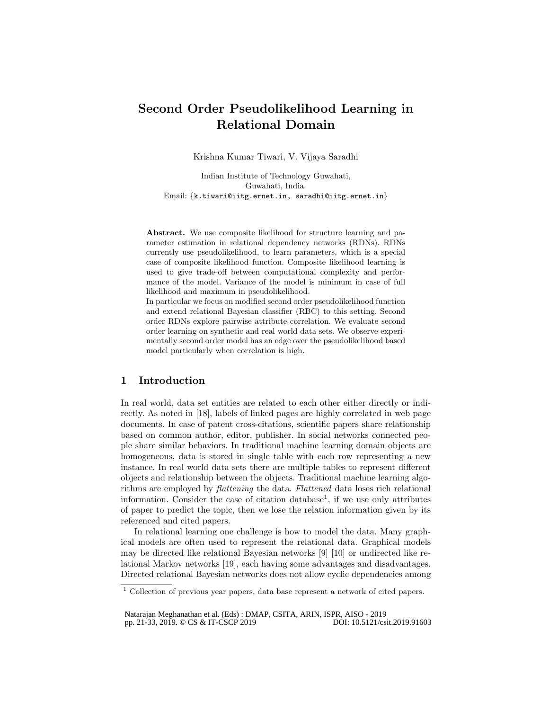# Second Order Pseudolikelihood Learning in Relational Domain

Krishna Kumar Tiwari, V. Vijaya Saradhi

Indian Institute of Technology Guwahati, Guwahati, India. Email: {k.tiwari@iitg.ernet.in, saradhi@iitg.ernet.in}

Abstract. We use composite likelihood for structure learning and parameter estimation in relational dependency networks (RDNs). RDNs currently use pseudolikelihood, to learn parameters, which is a special case of composite likelihood function. Composite likelihood learning is used to give trade-off between computational complexity and performance of the model. Variance of the model is minimum in case of full likelihood and maximum in pseudolikelihood.

In particular we focus on modified second order pseudolikelihood function and extend relational Bayesian classifier (RBC) to this setting. Second order RDNs explore pairwise attribute correlation. We evaluate second order learning on synthetic and real world data sets. We observe experimentally second order model has an edge over the pseudolikelihood based model particularly when correlation is high.

## 1 Introduction

In real world, data set entities are related to each other either directly or indirectly. As noted in [18], labels of linked pages are highly correlated in web page documents. In case of patent cross-citations, scientific papers share relationship based on common author, editor, publisher. In social networks connected people share similar behaviors. In traditional machine learning domain objects are homogeneous, data is stored in single table with each row representing a new instance. In real world data sets there are multiple tables to represent different objects and relationship between the objects. Traditional machine learning algorithms are employed by flattening the data. Flattened data loses rich relational information. Consider the case of citation database<sup>1</sup>, if we use only attributes of paper to predict the topic, then we lose the relation information given by its referenced and cited papers.

In relational learning one challenge is how to model the data. Many graphical models are often used to represent the relational data. Graphical models may be directed like relational Bayesian networks [9] [10] or undirected like relational Markov networks [19], each having some advantages and disadvantages. Directed relational Bayesian networks does not allow cyclic dependencies among

<sup>1</sup> Collection of previous year papers, data base represent a network of cited papers.

Natarajan Meghanathan et al. (Eds) : DMAP, CSITA, ARIN, ISPR, AISO - 2019<br>pp. 21-33, 2019. © CS & IT-CSCP 2019 pp. 21-33, 2019. © CS & IT-CSCP 2019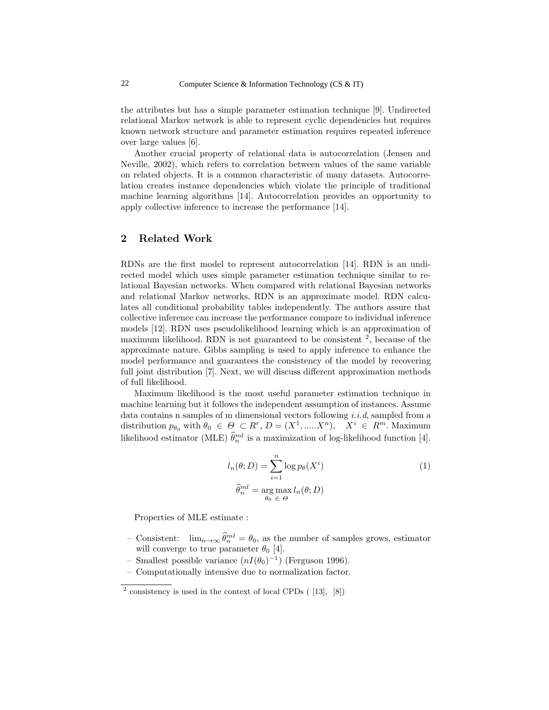the attributes but has a simple parameter estimation technique [9]. Undirected relational Markov network is able to represent cyclic dependencies but requires known network structure and parameter estimation requires repeated inference over large values [6].

Another crucial property of relational data is autocorrelation (Jensen and Neville, 2002), which refers to correlation between values of the same variable on related objects. It is a common characteristic of many datasets. Autocorrelation creates instance dependencies which violate the principle of traditional machine learning algorithms [14]. Autocorrelation provides an opportunity to apply collective inference to increase the performance [14].

## 2 Related Work

RDNs are the first model to represent autocorrelation [14]. RDN is an undirected model which uses simple parameter estimation technique similar to relational Bayesian networks. When compared with relational Bayesian networks and relational Markov networks, RDN is an approximate model. RDN calculates all conditional probability tables independently. The authors assure that collective inference can increase the performance compare to individual inference models [12]. RDN uses pseudolikelihood learning which is an approximation of maximum likelihood. RDN is not guaranteed to be consistent  $2$ , because of the approximate nature. Gibbs sampling is used to apply inference to enhance the model performance and guarantees the consistency of the model by recovering full joint distribution [7]. Next, we will discuss different approximation methods of full likelihood.

Maximum likelihood is the most useful parameter estimation technique in machine learning but it follows the independent assumption of instances. Assume data contains n samples of m dimensional vectors following  $i.i.d$ , sampled from a distribution  $p_{\theta_0}$  with  $\theta_0 \in \Theta \subset R^r$ ,  $D = (X^1, \dots, X^n)$ ,  $X^i \in R^m$ . Maximum likelihood estimator (MLE)  $\hat{\theta}_n^{ml}$  is a maximization of log-likelihood function [4].

$$
l_n(\theta; D) = \sum_{i=1}^n \log p_{\theta}(X^i)
$$
  

$$
\widehat{\theta}_n^{ml} = \underset{\theta_0 \in \Theta}{\arg \max} l_n(\theta; D)
$$
 (1)

Properties of MLE estimate :

- Consistent:  $\lim_{n\to\infty} \widehat{\theta}_n^{ml} = \theta_0$ , as the number of samples grows, estimator will converge to true parameter  $\theta_0$  [4].
- Smallest possible variance  $(nI(\theta_0)^{-1})$  (Ferguson 1996).
- Computationally intensive due to normalization factor.

 $^2$  consistency is used in the context of local CPDs ([13], [8])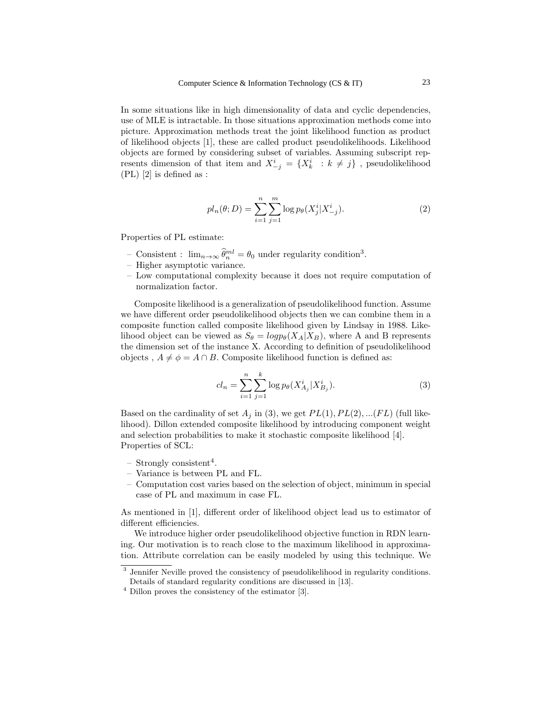In some situations like in high dimensionality of data and cyclic dependencies, use of MLE is intractable. In those situations approximation methods come into picture. Approximation methods treat the joint likelihood function as product of likelihood objects [1], these are called product pseudolikelihoods. Likelihood objects are formed by considering subset of variables. Assuming subscript represents dimension of that item and  $X^i_{-j} = \{X^i_k : k \neq j\}$ , pseudolikelihood (PL) [2] is defined as :

$$
pl_n(\theta; D) = \sum_{i=1}^n \sum_{j=1}^m \log p_{\theta}(X_j^i | X_{-j}^i).
$$
 (2)

Properties of PL estimate:

- Consistent :  $\lim_{n\to\infty} \widehat{\theta}_n^{ml} = \theta_0$  under regularity condition<sup>3</sup>.
- Higher asymptotic variance.
- Low computational complexity because it does not require computation of normalization factor.

Composite likelihood is a generalization of pseudolikelihood function. Assume we have different order pseudolikelihood objects then we can combine them in a composite function called composite likelihood given by Lindsay in 1988. Likelihood object can be viewed as  $S_{\theta} = log p_{\theta}(X_A | X_B)$ , where A and B represents the dimension set of the instance X. According to definition of pseudolikelihood objects,  $A \neq \phi = A \cap B$ . Composite likelihood function is defined as:

$$
cl_n = \sum_{i=1}^{n} \sum_{j=1}^{k} \log p_{\theta}(X_{A_j}^i | X_{B_j}^i).
$$
 (3)

Based on the cardinality of set  $A_i$  in (3), we get  $PL(1), PL(2), ... (FL)$  (full likelihood). Dillon extended composite likelihood by introducing component weight and selection probabilities to make it stochastic composite likelihood [4]. Properties of SCL:

- $-$  Strongly consistent<sup>4</sup>.
- Variance is between PL and FL.
- Computation cost varies based on the selection of object, minimum in special case of PL and maximum in case FL.

As mentioned in [1], different order of likelihood object lead us to estimator of different efficiencies.

We introduce higher order pseudolikelihood objective function in RDN learning. Our motivation is to reach close to the maximum likelihood in approximation. Attribute correlation can be easily modeled by using this technique. We

<sup>&</sup>lt;sup>3</sup> Jennifer Neville proved the consistency of pseudolikelihood in regularity conditions. Details of standard regularity conditions are discussed in [13].

 $4$  Dillon proves the consistency of the estimator [3].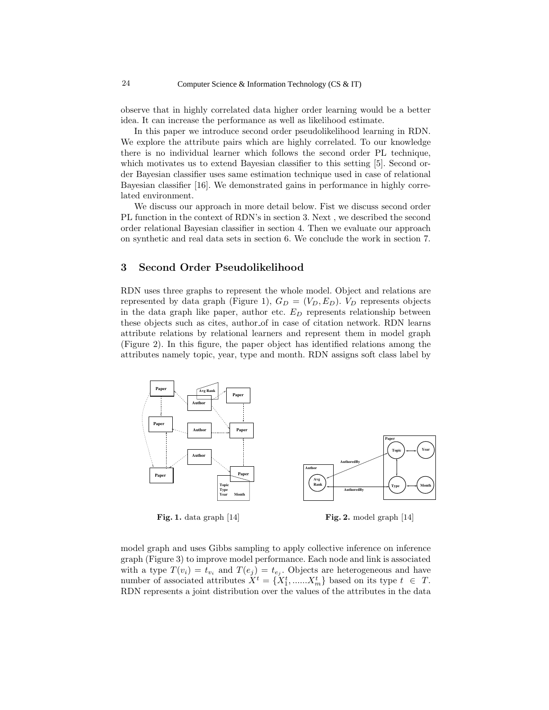observe that in highly correlated data higher order learning would be a better idea. It can increase the performance as well as likelihood estimate.

In this paper we introduce second order pseudolikelihood learning in RDN. We explore the attribute pairs which are highly correlated. To our knowledge there is no individual learner which follows the second order PL technique, which motivates us to extend Bayesian classifier to this setting [5]. Second order Bayesian classifier uses same estimation technique used in case of relational Bayesian classifier [16]. We demonstrated gains in performance in highly correlated environment.

We discuss our approach in more detail below. Fist we discuss second order PL function in the context of RDN's in section 3. Next , we described the second order relational Bayesian classifier in section 4. Then we evaluate our approach on synthetic and real data sets in section 6. We conclude the work in section 7.

## 3 Second Order Pseudolikelihood

RDN uses three graphs to represent the whole model. Object and relations are represented by data graph (Figure 1),  $G_D = (V_D, E_D)$ .  $V_D$  represents objects in the data graph like paper, author etc.  $E_D$  represents relationship between these objects such as cites, author of in case of citation network. RDN learns attribute relations by relational learners and represent them in model graph (Figure 2). In this figure, the paper object has identified relations among the attributes namely topic, year, type and month. RDN assigns soft class label by



Fig. 1. data graph [14]

Fig. 2. model graph [14]

model graph and uses Gibbs sampling to apply collective inference on inference graph (Figure 3) to improve model performance. Each node and link is associated with a type  $T(v_i) = t_{v_i}$  and  $T(e_j) = t_{e_j}$ . Objects are heterogeneous and have number of associated attributes  $X^t = \{X_1^t, \dots, X_m^t\}$  based on its type  $t \in T$ . RDN represents a joint distribution over the values of the attributes in the data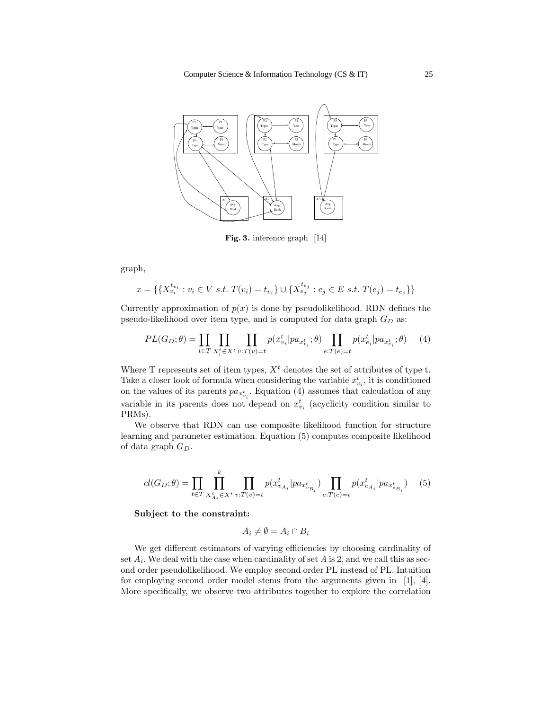

Fig. 3. inference graph [14]

graph,

$$
x = \{ \{ X_{v_i}^{t_{v_i}} : v_i \in V \text{ s.t. } T(v_i) = t_{v_i} \} \cup \{ X_{e_j}^{t_{e_j}} : e_j \in E \text{ s.t. } T(e_j) = t_{e_j} \} \}
$$

Currently approximation of  $p(x)$  is done by pseudolikelihood. RDN defines the pseudo-likelihood over item type, and is computed for data graph  $G_D$  as:

$$
PL(G_D; \theta) = \prod_{t \in T} \prod_{X_i^t \in X^t} \prod_{v: T(v) = t} p(x_{v_i}^t | pa_{x_{v_i}^t}; \theta) \prod_{e: T(e) = t} p(x_{e_i}^t | pa_{x_{e_i}^t}; \theta)
$$
(4)

Where T represents set of item types,  $X<sup>t</sup>$  denotes the set of attributes of type t. Take a closer look of formula when considering the variable  $x_{v_i}^t$ , it is conditioned on the values of its parents  $pa_{x_{v_i}^t}$ . Equation (4) assumes that calculation of any variable in its parents does not depend on  $x_{v_i}^t$  (acyclicity condition similar to PRMs).

We observe that RDN can use composite likelihood function for structure learning and parameter estimation. Equation (5) computes composite likelihood of data graph  $G_D$ .

$$
cl(G_D; \theta) = \prod_{t \in T} \prod_{X_{A_i}^t \in X^t} \prod_{v: T(v) = t} p(x_{v_{A_i}}^t | pa_{x_{v_{B_i}}^t}) \prod_{e: T(e) = t} p(x_{e_{A_i}}^t | pa_{x_{e_{B_i}}^t}) \quad (5)
$$

Subject to the constraint:

$$
A_i \neq \emptyset = A_i \cap B_i
$$

We get different estimators of varying efficiencies by choosing cardinality of set  $A_i$ . We deal with the case when cardinality of set  $A$  is 2, and we call this as second order pseudolikelihood. We employ second order PL instead of PL. Intuition for employing second order model stems from the arguments given in [1], [4]. More specifically, we observe two attributes together to explore the correlation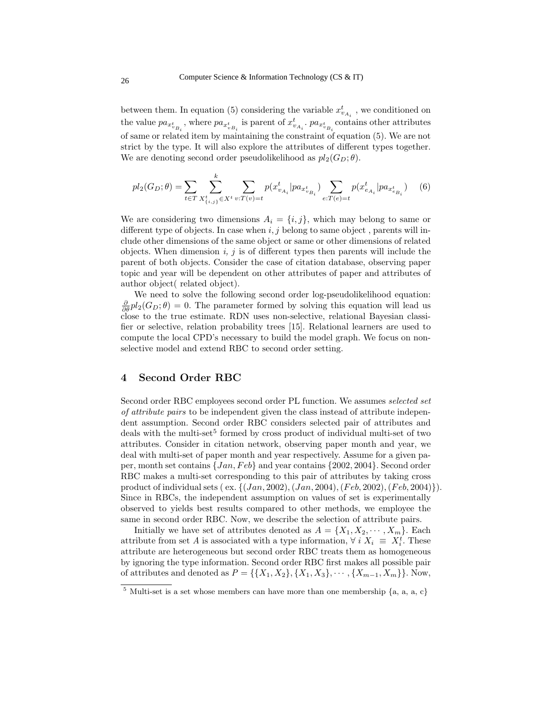between them. In equation (5) considering the variable  $x_{v_{A_i}}^t$  , we conditioned on the value  $pa_{x_{v_{B_i}}^t}$ , where  $pa_{x_{v_{B_i}}^t}$  is parent of  $x_{v_{A_i}}^t$ .  $pa_{x_{v_{B_i}}^t}$  contains other attributes of same or related item by maintaining the constraint of equation (5). We are not strict by the type. It will also explore the attributes of different types together. We are denoting second order pseudolikelihood as  $pl_2(G_D; \theta)$ .

 $\mathbf{z}$ 

$$
pl_2(G_D; \theta) = \sum_{t \in T} \sum_{X_{\{i,j\}}^t \in X^t} \sum_{v: T(v) = t} p(x_{v_{A_i}}^t | pa_{x_{v_{B_i}}^t}) \sum_{e: T(e) = t} p(x_{e_{A_i}}^t | pa_{x_{e_{B_i}}^t}) \tag{6}
$$

We are considering two dimensions  $A_i = \{i, j\}$ , which may belong to same or different type of objects. In case when  $i, j$  belong to same object, parents will include other dimensions of the same object or same or other dimensions of related objects. When dimension  $i, j$  is of different types then parents will include the parent of both objects. Consider the case of citation database, observing paper topic and year will be dependent on other attributes of paper and attributes of author object( related object).

We need to solve the following second order log-pseudolikelihood equation:  $\frac{\partial}{\partial \theta} pl_2(G_D; \theta) = 0$ . The parameter formed by solving this equation will lead us close to the true estimate. RDN uses non-selective, relational Bayesian classifier or selective, relation probability trees [15]. Relational learners are used to compute the local CPD's necessary to build the model graph. We focus on nonselective model and extend RBC to second order setting.

#### 4 Second Order RBC

Second order RBC employees second order PL function. We assumes selected set of attribute pairs to be independent given the class instead of attribute independent assumption. Second order RBC considers selected pair of attributes and deals with the multi-set<sup>5</sup> formed by cross product of individual multi-set of two attributes. Consider in citation network, observing paper month and year, we deal with multi-set of paper month and year respectively. Assume for a given paper, month set contains  $\{Jan, Feb\}$  and year contains  $\{2002, 2004\}$ . Second order RBC makes a multi-set corresponding to this pair of attributes by taking cross product of individual sets ( ex.  $\{(Jan, 2002), (Jan, 2004), (Feb, 2002), (Feb, 2004)\}\)$ . Since in RBCs, the independent assumption on values of set is experimentally observed to yields best results compared to other methods, we employee the same in second order RBC. Now, we describe the selection of attribute pairs.

Initially we have set of attributes denoted as  $A = \{X_1, X_2, \dots, X_m\}$ . Each attribute from set A is associated with a type information,  $\forall i X_i \equiv X_i^t$ . These attribute are heterogeneous but second order RBC treats them as homogeneous by ignoring the type information. Second order RBC first makes all possible pair of attributes and denoted as  $P = \{\{X_1, X_2\}, \{X_1, X_3\}, \cdots, \{X_{m-1}, X_m\}\}\.$  Now,

<sup>&</sup>lt;sup>5</sup> Multi-set is a set whose members can have more than one membership  $\{a, a, a, c\}$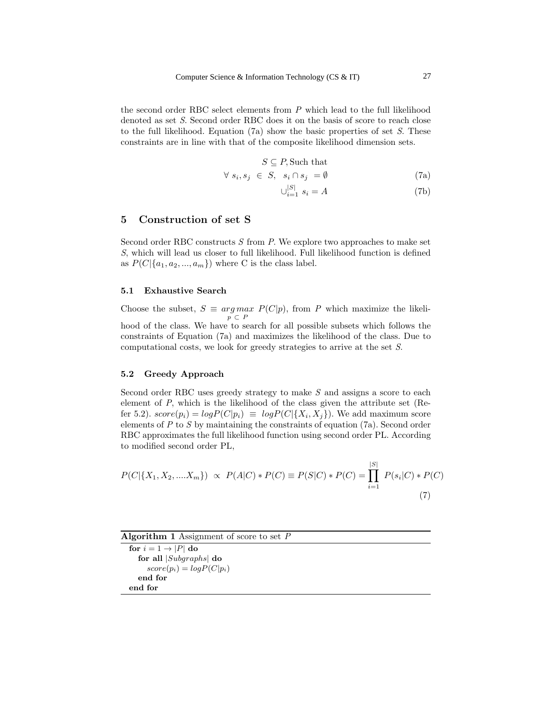the second order RBC select elements from P which lead to the full likelihood denoted as set S. Second order RBC does it on the basis of score to reach close to the full likelihood. Equation  $(7a)$  show the basic properties of set S. These constraints are in line with that of the composite likelihood dimension sets.

$$
S \subseteq P
$$
, Such that

$$
\forall s_i, s_j \in S, \quad s_i \cap s_j = \emptyset \tag{7a}
$$

$$
\bigcup_{i=1}^{|S|} s_i = A \tag{7b}
$$

## 5 Construction of set S

Second order RBC constructs  $S$  from  $P$ . We explore two approaches to make set S, which will lead us closer to full likelihood. Full likelihood function is defined as  $P(C|\{a_1, a_2, ..., a_m\})$  where C is the class label.

#### 5.1 Exhaustive Search

Choose the subset,  $S \equiv arg max P(C|p)$ , from P which maximize the likeli $p \subset P$ hood of the class. We have to search for all possible subsets which follows the constraints of Equation (7a) and maximizes the likelihood of the class. Due to computational costs, we look for greedy strategies to arrive at the set S.

#### 5.2 Greedy Approach

Second order RBC uses greedy strategy to make S and assigns a score to each element of P, which is the likelihood of the class given the attribute set (Refer 5.2).  $score(p_i) = log P(C|p_i) \equiv log P(C | \{X_i, X_j\})$ . We add maximum score elements of P to S by maintaining the constraints of equation (7a). Second order RBC approximates the full likelihood function using second order PL. According to modified second order PL,

$$
P(C|\{X_1, X_2, .... X_m\}) \propto P(A|C) * P(C) \equiv P(S|C) * P(C) = \prod_{i=1}^{|S|} P(s_i|C) * P(C)
$$
\n(7)

Algorithm 1 Assignment of score to set  $P$ for  $i = 1 \rightarrow |P|$  do for all |Subgraphs| do

 $score(p_i) = logP(C|p_i)$ end for end for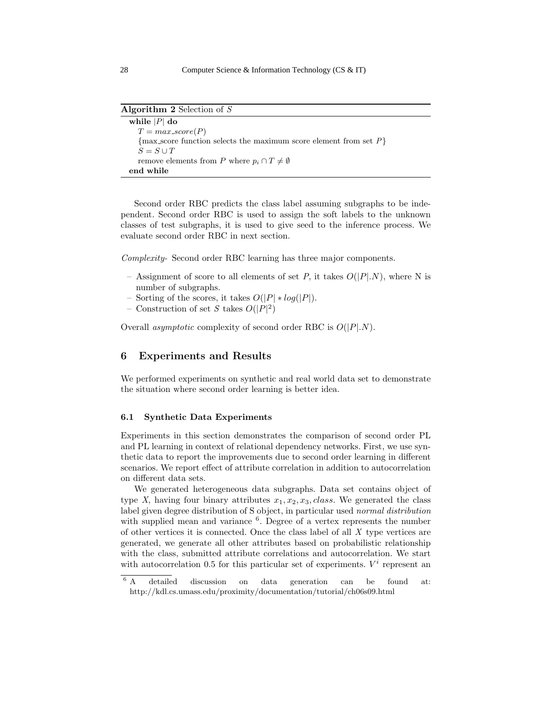Algorithm 2 Selection of  $S$ 

```
while |P| do
T = max_score(P)\{max_score function selects the maximum score element from set P\}S = S \cup Tremove elements from P where p_i \cap T \neq \emptysetend while
```
Second order RBC predicts the class label assuming subgraphs to be independent. Second order RBC is used to assign the soft labels to the unknown classes of test subgraphs, it is used to give seed to the inference process. We evaluate second order RBC in next section.

Complexity- Second order RBC learning has three major components.

- Assignment of score to all elements of set P, it takes  $O(|P|N)$ , where N is number of subgraphs.
- Sorting of the scores, it takes  $O(|P| * log(|P|))$ .
- Construction of set S takes  $O(|P|^2)$

Overall *asymptotic* complexity of second order RBC is  $O(|P|,N)$ .

## 6 Experiments and Results

We performed experiments on synthetic and real world data set to demonstrate the situation where second order learning is better idea.

#### 6.1 Synthetic Data Experiments

Experiments in this section demonstrates the comparison of second order PL and PL learning in context of relational dependency networks. First, we use synthetic data to report the improvements due to second order learning in different scenarios. We report effect of attribute correlation in addition to autocorrelation on different data sets.

We generated heterogeneous data subgraphs. Data set contains object of type X, having four binary attributes  $x_1, x_2, x_3, class.$  We generated the class label given degree distribution of S object, in particular used normal distribution with supplied mean and variance <sup>6</sup>. Degree of a vertex represents the number of other vertices it is connected. Once the class label of all  $X$  type vertices are generated, we generate all other attributes based on probabilistic relationship with the class, submitted attribute correlations and autocorrelation. We start with autocorrelation 0.5 for this particular set of experiments.  $V<sup>i</sup>$  represent an

 $6 A$  detailed discussion on data generation can be found at: http://kdl.cs.umass.edu/proximity/documentation/tutorial/ch06s09.html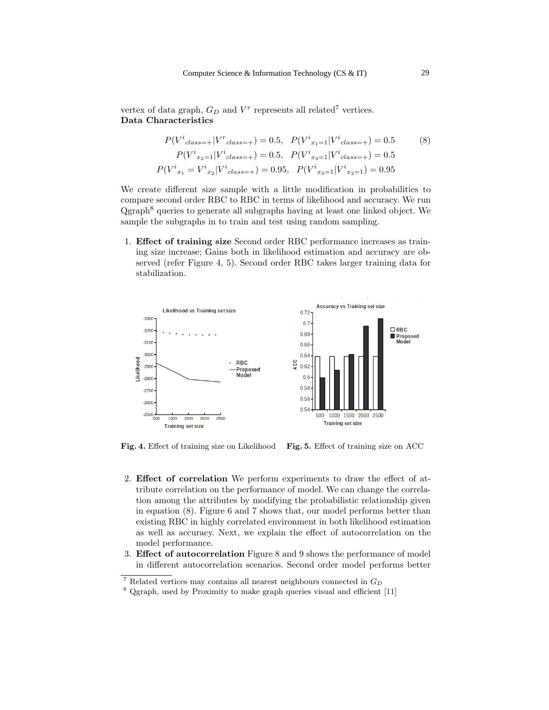vertex of data graph,  $G_D$  and  $V^r$  represents all related<sup>7</sup> vertices. Data Characteristics

$$
P(V^{i}_{class=+}|V^{r}_{class=+}) = 0.5, \quad P(V^{i}_{x_{1}=1}|V^{i}_{class=+}) = 0.5
$$
\n
$$
P(V^{i}_{x_{2}=1}|V^{i}_{class=+}) = 0.5, \quad P(V^{i}_{x_{3}=1}|V^{i}_{class=+}) = 0.5
$$
\n
$$
P(V^{i}_{x_{1}} = V^{i}_{x_{2}}|V^{i}_{class=+}) = 0.95, \quad P(V^{i}_{x_{3}=1}|V^{i}_{x_{2}=1}) = 0.95
$$
\n
$$
(8)
$$

We create different size sample with a little modification in probabilities to compare second order RBC to RBC in terms of likelihood and accuracy. We run Qgraph<sup>8</sup> queries to generate all subgraphs having at least one linked object. We sample the subgraphs in to train and test using random sampling.

1. Effect of training size Second order RBC performance increases as training size increase; Gains both in likelihood estimation and accuracy are observed (refer Figure 4, 5). Second order RBC takes larger training data for stabilization.



Fig. 4. Effect of training size on Likelihood Fig. 5. Effect of training size on ACC

- 2. Effect of correlation We perform experiments to draw the effect of attribute correlation on the performance of model. We can change the correlation among the attributes by modifying the probabilistic relationship given in equation (8). Figure 6 and 7 shows that, our model performs better than existing RBC in highly correlated environment in both likelihood estimation as well as accuracy. Next, we explain the effect of autocorrelation on the model performance.
- 3. Effect of autocorrelation Figure 8 and 9 shows the performance of model in different autocorrelation scenarios. Second order model performs better

 $7$  Related vertices may contains all nearest neighbours connected in  $G_D$ 

<sup>8</sup> Qgraph, used by Proximity to make graph queries visual and efficient [11]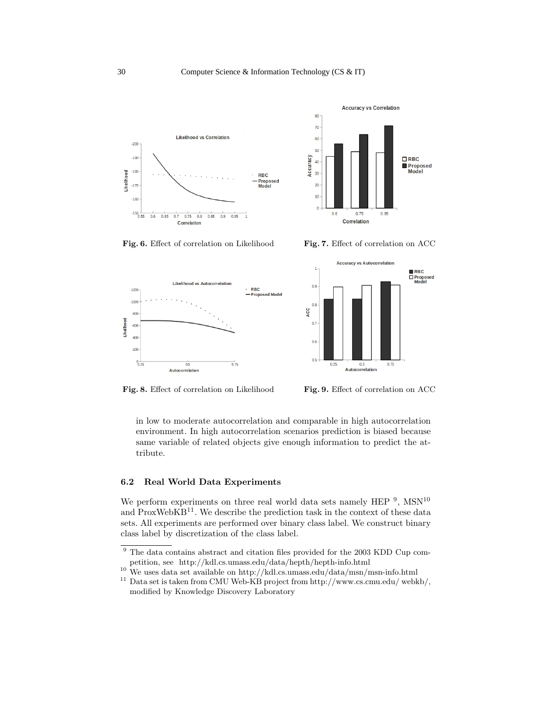









Fig. 8. Effect of correlation on Likelihood Fig. 9. Effect of correlation on ACC

in low to moderate autocorrelation and comparable in high autocorrelation environment. In high autocorrelation scenarios prediction is biased because same variable of related objects give enough information to predict the attribute.

#### 6.2 Real World Data Experiments

We perform experiments on three real world data sets namely HEP  $^9$ , MSN<sup>10</sup> and  $ProxWebKB<sup>11</sup>$ . We describe the prediction task in the context of these data sets. All experiments are performed over binary class label. We construct binary class label by discretization of the class label.

<sup>10</sup> We uses data set available on http://kdl.cs.umass.edu/data/msn/msn-info.html

<sup>&</sup>lt;sup>9</sup> The data contains abstract and citation files provided for the 2003 KDD Cup competition, see http://kdl.cs.umass.edu/data/hepth/hepth-info.html

 $^{11}$  Data set is taken from CMU Web-KB project from http://www.cs.cmu.edu/ webkb/, modified by Knowledge Discovery Laboratory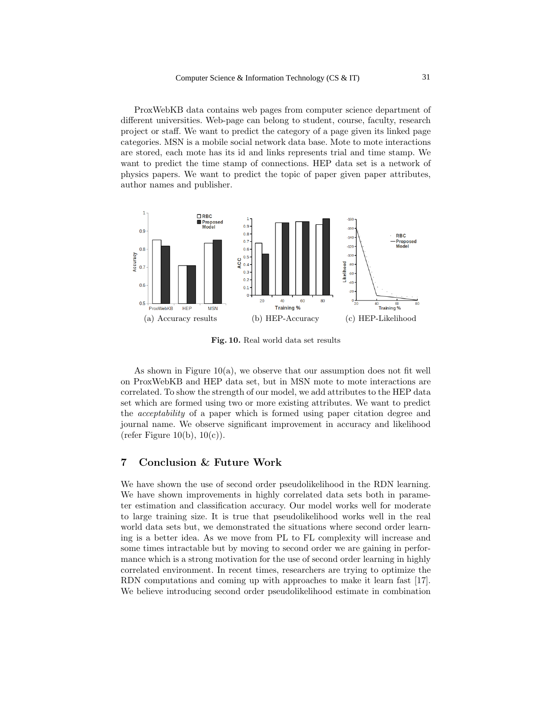ProxWebKB data contains web pages from computer science department of different universities. Web-page can belong to student, course, faculty, research project or staff. We want to predict the category of a page given its linked page categories. MSN is a mobile social network data base. Mote to mote interactions are stored, each mote has its id and links represents trial and time stamp. We want to predict the time stamp of connections. HEP data set is a network of physics papers. We want to predict the topic of paper given paper attributes, author names and publisher.



Fig. 10. Real world data set results

As shown in Figure  $10(a)$ , we observe that our assumption does not fit well on ProxWebKB and HEP data set, but in MSN mote to mote interactions are correlated. To show the strength of our model, we add attributes to the HEP data set which are formed using two or more existing attributes. We want to predict the acceptability of a paper which is formed using paper citation degree and journal name. We observe significant improvement in accuracy and likelihood (refer Figure 10(b),  $10(c)$ ).

#### 7 Conclusion & Future Work

We have shown the use of second order pseudolikelihood in the RDN learning. We have shown improvements in highly correlated data sets both in parameter estimation and classification accuracy. Our model works well for moderate to large training size. It is true that pseudolikelihood works well in the real world data sets but, we demonstrated the situations where second order learning is a better idea. As we move from PL to FL complexity will increase and some times intractable but by moving to second order we are gaining in performance which is a strong motivation for the use of second order learning in highly correlated environment. In recent times, researchers are trying to optimize the RDN computations and coming up with approaches to make it learn fast [17]. We believe introducing second order pseudolikelihood estimate in combination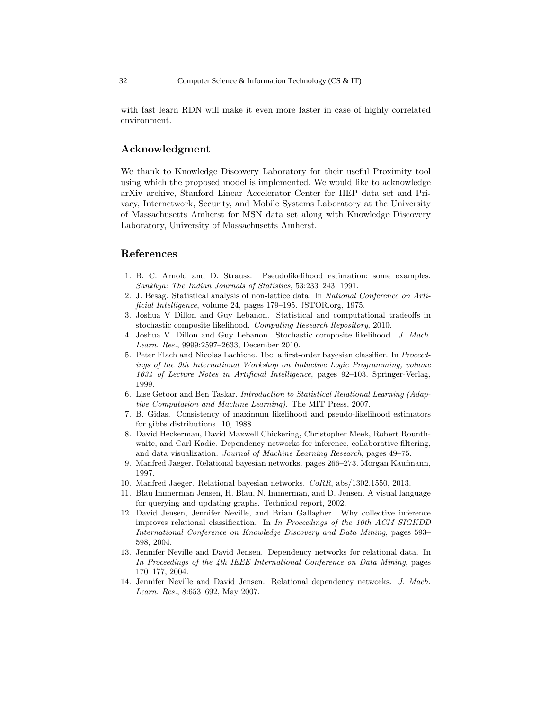with fast learn RDN will make it even more faster in case of highly correlated environment.

## Acknowledgment

We thank to Knowledge Discovery Laboratory for their useful Proximity tool using which the proposed model is implemented. We would like to acknowledge arXiv archive, Stanford Linear Accelerator Center for HEP data set and Privacy, Internetwork, Security, and Mobile Systems Laboratory at the University of Massachusetts Amherst for MSN data set along with Knowledge Discovery Laboratory, University of Massachusetts Amherst.

## References

- 1. B. C. Arnold and D. Strauss. Pseudolikelihood estimation: some examples. Sankhya: The Indian Journals of Statistics, 53:233–243, 1991.
- 2. J. Besag. Statistical analysis of non-lattice data. In National Conference on Artificial Intelligence, volume 24, pages 179–195. JSTOR.org, 1975.
- 3. Joshua V Dillon and Guy Lebanon. Statistical and computational tradeoffs in stochastic composite likelihood. Computing Research Repository, 2010.
- 4. Joshua V. Dillon and Guy Lebanon. Stochastic composite likelihood. J. Mach. Learn. Res., 9999:2597–2633, December 2010.
- 5. Peter Flach and Nicolas Lachiche. 1bc: a first-order bayesian classifier. In Proceedings of the 9th International Workshop on Inductive Logic Programming, volume 1634 of Lecture Notes in Artificial Intelligence, pages 92–103. Springer-Verlag, 1999.
- 6. Lise Getoor and Ben Taskar. Introduction to Statistical Relational Learning (Adaptive Computation and Machine Learning). The MIT Press, 2007.
- 7. B. Gidas. Consistency of maximum likelihood and pseudo-likelihood estimators for gibbs distributions. 10, 1988.
- 8. David Heckerman, David Maxwell Chickering, Christopher Meek, Robert Rounthwaite, and Carl Kadie. Dependency networks for inference, collaborative filtering, and data visualization. Journal of Machine Learning Research, pages 49–75.
- 9. Manfred Jaeger. Relational bayesian networks. pages 266–273. Morgan Kaufmann, 1997.
- 10. Manfred Jaeger. Relational bayesian networks. CoRR, abs/1302.1550, 2013.
- 11. Blau Immerman Jensen, H. Blau, N. Immerman, and D. Jensen. A visual language for querying and updating graphs. Technical report, 2002.
- 12. David Jensen, Jennifer Neville, and Brian Gallagher. Why collective inference improves relational classification. In In Proceedings of the 10th ACM SIGKDD International Conference on Knowledge Discovery and Data Mining, pages 593– 598, 2004.
- 13. Jennifer Neville and David Jensen. Dependency networks for relational data. In In Proceedings of the 4th IEEE International Conference on Data Mining, pages 170–177, 2004.
- 14. Jennifer Neville and David Jensen. Relational dependency networks. J. Mach. Learn. Res., 8:653–692, May 2007.